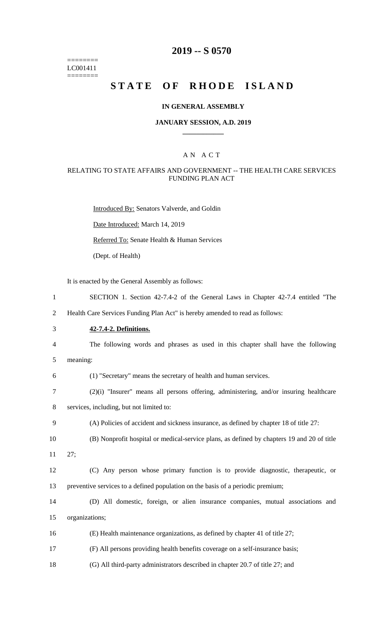======== LC001411 ========

# **2019 -- S 0570**

# **STATE OF RHODE ISLAND**

### **IN GENERAL ASSEMBLY**

### **JANUARY SESSION, A.D. 2019 \_\_\_\_\_\_\_\_\_\_\_\_**

### A N A C T

### RELATING TO STATE AFFAIRS AND GOVERNMENT -- THE HEALTH CARE SERVICES FUNDING PLAN ACT

Introduced By: Senators Valverde, and Goldin Date Introduced: March 14, 2019 Referred To: Senate Health & Human Services (Dept. of Health)

It is enacted by the General Assembly as follows:

 Health Care Services Funding Plan Act" is hereby amended to read as follows: **42-7.4-2. Definitions.** The following words and phrases as used in this chapter shall have the following 5 meaning: (1) "Secretary" means the secretary of health and human services.

1 SECTION 1. Section 42-7.4-2 of the General Laws in Chapter 42-7.4 entitled "The

- 7 (2)(i) "Insurer" means all persons offering, administering, and/or insuring healthcare
- 8 services, including, but not limited to:
- 9 (A) Policies of accident and sickness insurance, as defined by chapter 18 of title 27:
- 10 (B) Nonprofit hospital or medical-service plans, as defined by chapters 19 and 20 of title
- 11 27;
- 12 (C) Any person whose primary function is to provide diagnostic, therapeutic, or 13 preventive services to a defined population on the basis of a periodic premium;
- 14 (D) All domestic, foreign, or alien insurance companies, mutual associations and 15 organizations;
- 16 (E) Health maintenance organizations, as defined by chapter 41 of title 27;
- 17 (F) All persons providing health benefits coverage on a self-insurance basis;
- 18 (G) All third-party administrators described in chapter 20.7 of title 27; and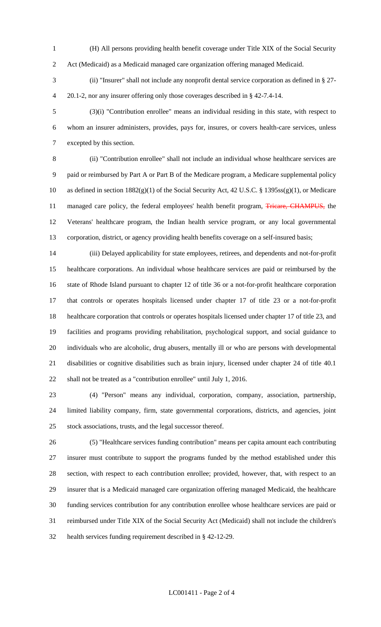(H) All persons providing health benefit coverage under Title XIX of the Social Security Act (Medicaid) as a Medicaid managed care organization offering managed Medicaid.

 (ii) "Insurer" shall not include any nonprofit dental service corporation as defined in § 27- 20.1-2, nor any insurer offering only those coverages described in § 42-7.4-14.

 (3)(i) "Contribution enrollee" means an individual residing in this state, with respect to whom an insurer administers, provides, pays for, insures, or covers health-care services, unless excepted by this section.

 (ii) "Contribution enrollee" shall not include an individual whose healthcare services are paid or reimbursed by Part A or Part B of the Medicare program, a Medicare supplemental policy as defined in section 1882(g)(1) of the Social Security Act, 42 U.S.C. § 1395ss(g)(1), or Medicare 11 managed care policy, the federal employees' health benefit program, Tricare, CHAMPUS, the Veterans' healthcare program, the Indian health service program, or any local governmental corporation, district, or agency providing health benefits coverage on a self-insured basis;

 (iii) Delayed applicability for state employees, retirees, and dependents and not-for-profit healthcare corporations. An individual whose healthcare services are paid or reimbursed by the state of Rhode Island pursuant to chapter 12 of title 36 or a not-for-profit healthcare corporation that controls or operates hospitals licensed under chapter 17 of title 23 or a not-for-profit healthcare corporation that controls or operates hospitals licensed under chapter 17 of title 23, and facilities and programs providing rehabilitation, psychological support, and social guidance to individuals who are alcoholic, drug abusers, mentally ill or who are persons with developmental disabilities or cognitive disabilities such as brain injury, licensed under chapter 24 of title 40.1 shall not be treated as a "contribution enrollee" until July 1, 2016.

 (4) "Person" means any individual, corporation, company, association, partnership, limited liability company, firm, state governmental corporations, districts, and agencies, joint stock associations, trusts, and the legal successor thereof.

 (5) "Healthcare services funding contribution" means per capita amount each contributing insurer must contribute to support the programs funded by the method established under this section, with respect to each contribution enrollee; provided, however, that, with respect to an insurer that is a Medicaid managed care organization offering managed Medicaid, the healthcare funding services contribution for any contribution enrollee whose healthcare services are paid or reimbursed under Title XIX of the Social Security Act (Medicaid) shall not include the children's health services funding requirement described in § 42-12-29.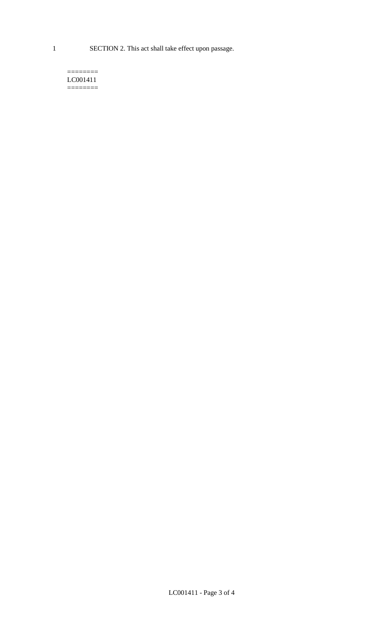1 SECTION 2. This act shall take effect upon passage.

#### $=$ LC001411  $=$